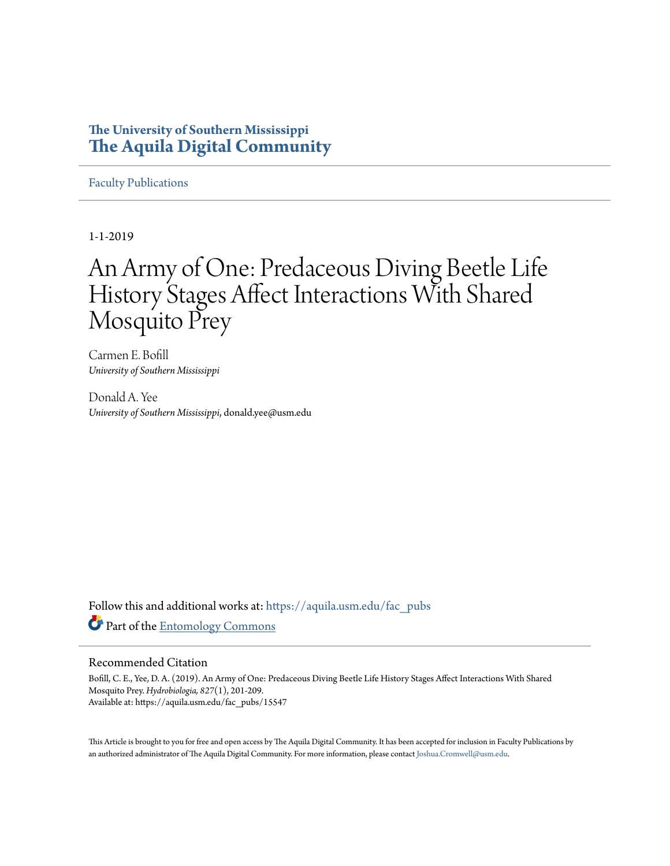## **The University of Southern Mississippi [The Aquila Digital Community](https://aquila.usm.edu?utm_source=aquila.usm.edu%2Ffac_pubs%2F15547&utm_medium=PDF&utm_campaign=PDFCoverPages)**

[Faculty Publications](https://aquila.usm.edu/fac_pubs?utm_source=aquila.usm.edu%2Ffac_pubs%2F15547&utm_medium=PDF&utm_campaign=PDFCoverPages)

1-1-2019

# An Army of One: Predaceous Diving Beetle Life History Stages Affect Interactions With Shared Mosquito Prey

Carmen E. Bofill *University of Southern Mississippi*

Donald A. Yee *University of Southern Mississippi*, donald.yee@usm.edu

Follow this and additional works at: [https://aquila.usm.edu/fac\\_pubs](https://aquila.usm.edu/fac_pubs?utm_source=aquila.usm.edu%2Ffac_pubs%2F15547&utm_medium=PDF&utm_campaign=PDFCoverPages) Part of the [Entomology Commons](http://network.bepress.com/hgg/discipline/83?utm_source=aquila.usm.edu%2Ffac_pubs%2F15547&utm_medium=PDF&utm_campaign=PDFCoverPages)

### Recommended Citation

Bofill, C. E., Yee, D. A. (2019). An Army of One: Predaceous Diving Beetle Life History Stages Affect Interactions With Shared Mosquito Prey. *Hydrobiologia, 827*(1), 201-209. Available at: https://aquila.usm.edu/fac\_pubs/15547

This Article is brought to you for free and open access by The Aquila Digital Community. It has been accepted for inclusion in Faculty Publications by an authorized administrator of The Aquila Digital Community. For more information, please contact [Joshua.Cromwell@usm.edu](mailto:Joshua.Cromwell@usm.edu).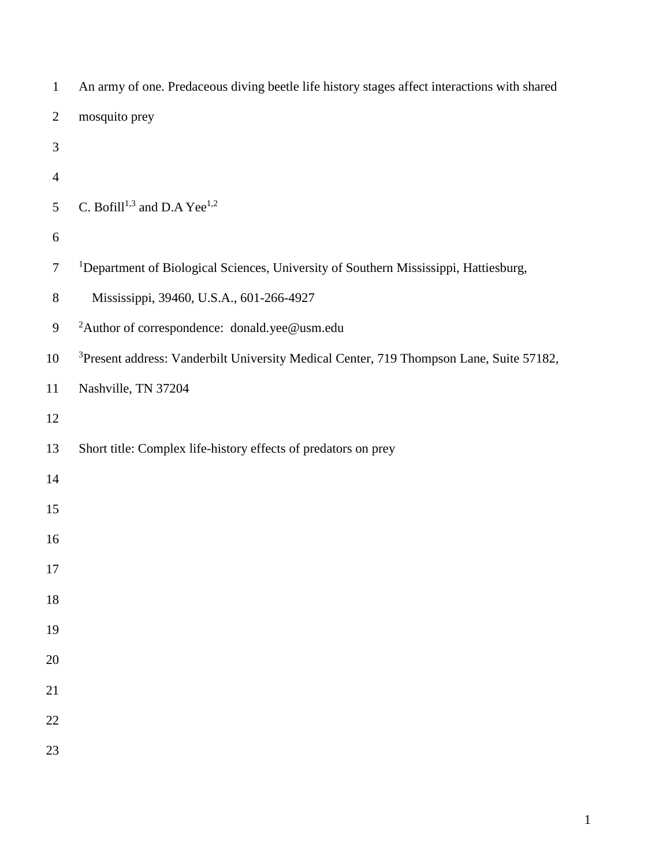| $\mathbf{1}$   | An army of one. Predaceous diving beetle life history stages affect interactions with shared        |
|----------------|-----------------------------------------------------------------------------------------------------|
| $\overline{2}$ | mosquito prey                                                                                       |
| 3              |                                                                                                     |
| $\overline{4}$ |                                                                                                     |
| 5              | C. Bofill <sup>1,3</sup> and D.A Yee <sup>1,2</sup>                                                 |
| 6              |                                                                                                     |
| $\overline{7}$ | <sup>1</sup> Department of Biological Sciences, University of Southern Mississippi, Hattiesburg,    |
| $8\,$          | Mississippi, 39460, U.S.A., 601-266-4927                                                            |
| 9              | <sup>2</sup> Author of correspondence: donald.yee@usm.edu                                           |
| 10             | <sup>3</sup> Present address: Vanderbilt University Medical Center, 719 Thompson Lane, Suite 57182, |
| 11             | Nashville, TN 37204                                                                                 |
| 12             |                                                                                                     |
| 13             | Short title: Complex life-history effects of predators on prey                                      |
| 14             |                                                                                                     |
| 15             |                                                                                                     |
| 16             |                                                                                                     |
| 17             |                                                                                                     |
| 18             |                                                                                                     |
| 19             |                                                                                                     |
| 20             |                                                                                                     |
| 21             |                                                                                                     |
| $22\,$         |                                                                                                     |
| 23             |                                                                                                     |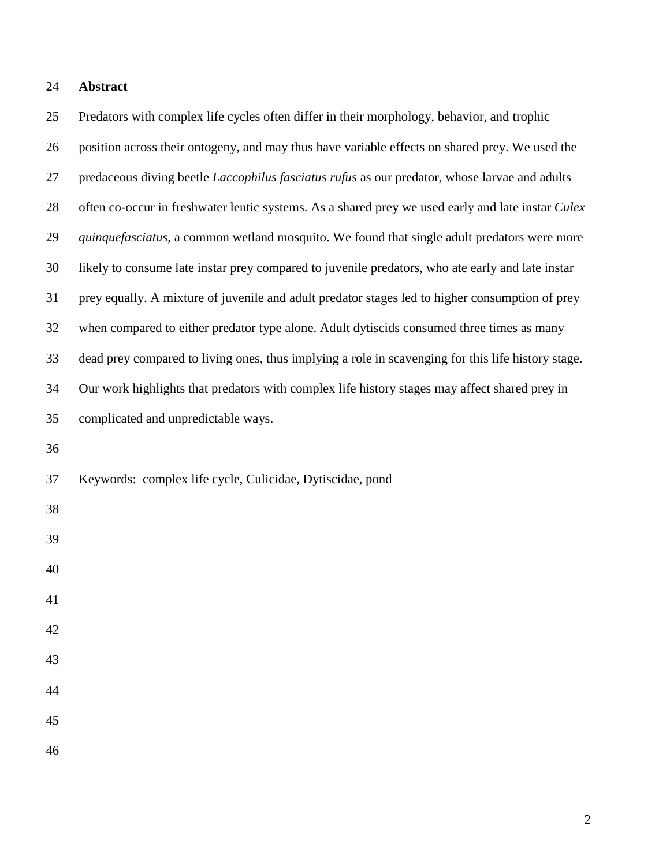## **Abstract**

 Predators with complex life cycles often differ in their morphology, behavior, and trophic position across their ontogeny, and may thus have variable effects on shared prey. We used the predaceous diving beetle *Laccophilus fasciatus rufus* as our predator, whose larvae and adults often co-occur in freshwater lentic systems. As a shared prey we used early and late instar *Culex quinquefasciatus*, a common wetland mosquito. We found that single adult predators were more likely to consume late instar prey compared to juvenile predators, who ate early and late instar prey equally. A mixture of juvenile and adult predator stages led to higher consumption of prey when compared to either predator type alone. Adult dytiscids consumed three times as many dead prey compared to living ones, thus implying a role in scavenging for this life history stage. Our work highlights that predators with complex life history stages may affect shared prey in complicated and unpredictable ways. Keywords: complex life cycle, Culicidae, Dytiscidae, pond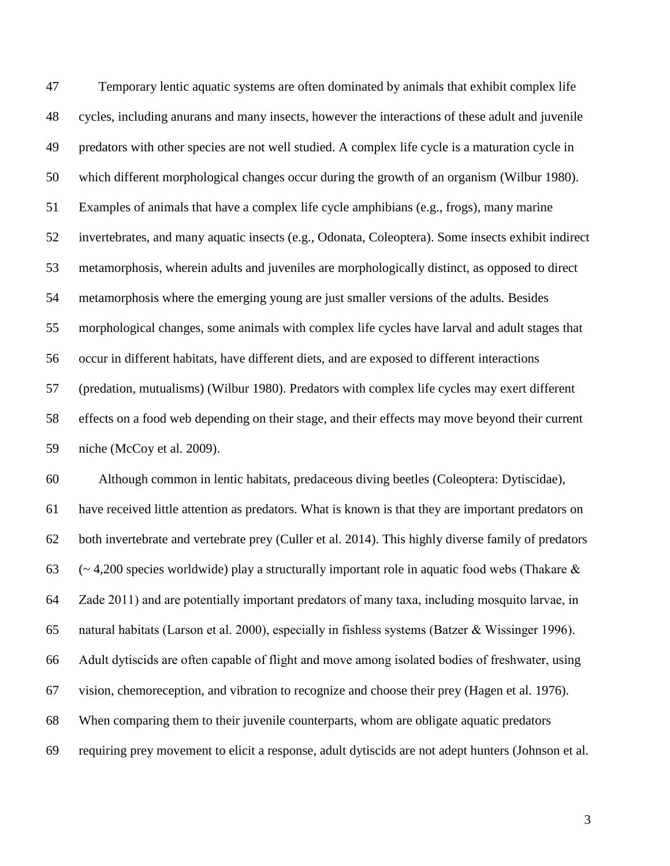Temporary lentic aquatic systems are often dominated by animals that exhibit complex life cycles, including anurans and many insects, however the interactions of these adult and juvenile predators with other species are not well studied. A complex life cycle is a maturation cycle in which different morphological changes occur during the growth of an organism (Wilbur 1980). Examples of animals that have a complex life cycle amphibians (e.g., frogs), many marine invertebrates, and many aquatic insects (e.g., Odonata, Coleoptera). Some insects exhibit indirect metamorphosis, wherein adults and juveniles are morphologically distinct, as opposed to direct metamorphosis where the emerging young are just smaller versions of the adults. Besides morphological changes, some animals with complex life cycles have larval and adult stages that occur in different habitats, have different diets, and are exposed to different interactions (predation, mutualisms) (Wilbur 1980). Predators with complex life cycles may exert different effects on a food web depending on their stage, and their effects may move beyond their current niche (McCoy et al. 2009).

 Although common in lentic habitats, predaceous diving beetles (Coleoptera: Dytiscidae), have received little attention as predators. What is known is that they are important predators on both invertebrate and vertebrate prey (Culler et al. 2014). This highly diverse family of predators 63 ( $\sim$  4,200 species worldwide) play a structurally important role in aquatic food webs (Thakare  $\&$  Zade 2011) and are potentially important predators of many taxa, including mosquito larvae, in natural habitats (Larson et al. 2000), especially in fishless systems (Batzer & Wissinger 1996). Adult dytiscids are often capable of flight and move among isolated bodies of freshwater, using vision, chemoreception, and vibration to recognize and choose their prey (Hagen et al. 1976). When comparing them to their juvenile counterparts, whom are obligate aquatic predators requiring prey movement to elicit a response, adult dytiscids are not adept hunters (Johnson et al.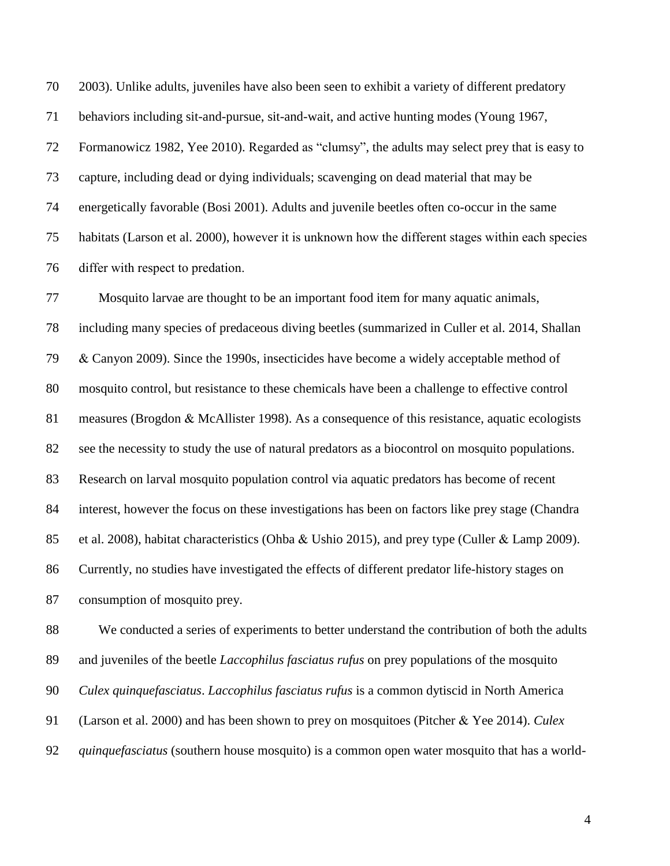2003). Unlike adults, juveniles have also been seen to exhibit a variety of different predatory behaviors including sit-and-pursue, sit-and-wait, and active hunting modes (Young 1967, Formanowicz 1982, Yee 2010). Regarded as "clumsy", the adults may select prey that is easy to capture, including dead or dying individuals; scavenging on dead material that may be energetically favorable (Bosi 2001). Adults and juvenile beetles often co-occur in the same habitats (Larson et al. 2000), however it is unknown how the different stages within each species differ with respect to predation.

 Mosquito larvae are thought to be an important food item for many aquatic animals, including many species of predaceous diving beetles (summarized in Culler et al. 2014, Shallan & Canyon 2009). Since the 1990s, insecticides have become a widely acceptable method of mosquito control, but resistance to these chemicals have been a challenge to effective control measures (Brogdon & McAllister 1998). As a consequence of this resistance, aquatic ecologists see the necessity to study the use of natural predators as a biocontrol on mosquito populations. Research on larval mosquito population control via aquatic predators has become of recent interest, however the focus on these investigations has been on factors like prey stage (Chandra et al. 2008), habitat characteristics (Ohba & Ushio 2015), and prey type (Culler & Lamp 2009). Currently, no studies have investigated the effects of different predator life-history stages on consumption of mosquito prey.

 We conducted a series of experiments to better understand the contribution of both the adults and juveniles of the beetle *Laccophilus fasciatus rufus* on prey populations of the mosquito *Culex quinquefasciatus*. *Laccophilus fasciatus rufus* is a common dytiscid in North America (Larson et al. 2000) and has been shown to prey on mosquitoes (Pitcher & Yee 2014). *Culex quinquefasciatus* (southern house mosquito) is a common open water mosquito that has a world-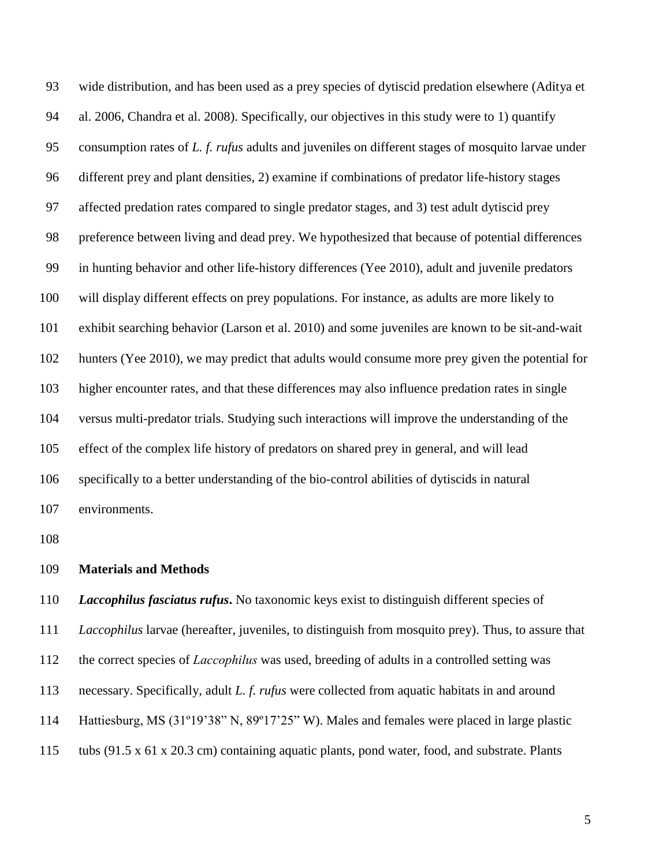wide distribution, and has been used as a prey species of dytiscid predation elsewhere (Aditya et al. 2006, Chandra et al. 2008). Specifically, our objectives in this study were to 1) quantify consumption rates of *L. f. rufus* adults and juveniles on different stages of mosquito larvae under different prey and plant densities, 2) examine if combinations of predator life-history stages affected predation rates compared to single predator stages, and 3) test adult dytiscid prey preference between living and dead prey. We hypothesized that because of potential differences in hunting behavior and other life-history differences (Yee 2010), adult and juvenile predators will display different effects on prey populations. For instance, as adults are more likely to exhibit searching behavior (Larson et al. 2010) and some juveniles are known to be sit-and-wait hunters (Yee 2010), we may predict that adults would consume more prey given the potential for higher encounter rates, and that these differences may also influence predation rates in single versus multi-predator trials. Studying such interactions will improve the understanding of the effect of the complex life history of predators on shared prey in general, and will lead specifically to a better understanding of the bio-control abilities of dytiscids in natural environments.

#### **Materials and Methods**

 *Laccophilus fasciatus rufus***.** No taxonomic keys exist to distinguish different species of *Laccophilus* larvae (hereafter, juveniles, to distinguish from mosquito prey). Thus, to assure that the correct species of *Laccophilus* was used, breeding of adults in a controlled setting was necessary. Specifically, adult *L. f. rufus* were collected from aquatic habitats in and around Hattiesburg, MS (31º19'38" N, 89º17'25" W). Males and females were placed in large plastic tubs (91.5 x 61 x 20.3 cm) containing aquatic plants, pond water, food, and substrate. Plants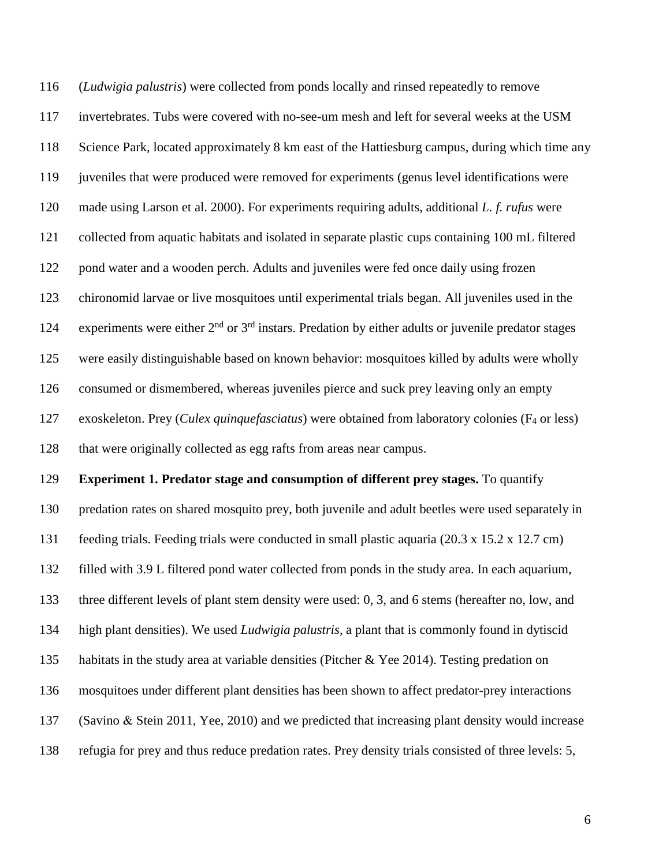(*Ludwigia palustris*) were collected from ponds locally and rinsed repeatedly to remove invertebrates. Tubs were covered with no-see-um mesh and left for several weeks at the USM Science Park, located approximately 8 km east of the Hattiesburg campus, during which time any juveniles that were produced were removed for experiments (genus level identifications were made using Larson et al. 2000). For experiments requiring adults, additional *L. f. rufus* were collected from aquatic habitats and isolated in separate plastic cups containing 100 mL filtered pond water and a wooden perch. Adults and juveniles were fed once daily using frozen chironomid larvae or live mosquitoes until experimental trials began. All juveniles used in the 124 experiments were either  $2<sup>nd</sup>$  or  $3<sup>rd</sup>$  instars. Predation by either adults or juvenile predator stages were easily distinguishable based on known behavior: mosquitoes killed by adults were wholly consumed or dismembered, whereas juveniles pierce and suck prey leaving only an empty exoskeleton. Prey (*Culex quinquefasciatus*) were obtained from laboratory colonies (F<sup>4</sup> or less) that were originally collected as egg rafts from areas near campus.

**Experiment 1. Predator stage and consumption of different prey stages.** To quantify

predation rates on shared mosquito prey, both juvenile and adult beetles were used separately in

feeding trials. Feeding trials were conducted in small plastic aquaria (20.3 x 15.2 x 12.7 cm)

filled with 3.9 L filtered pond water collected from ponds in the study area. In each aquarium,

three different levels of plant stem density were used: 0, 3, and 6 stems (hereafter no, low, and

high plant densities). We used *Ludwigia palustris*, a plant that is commonly found in dytiscid

135 habitats in the study area at variable densities (Pitcher & Yee 2014). Testing predation on

mosquitoes under different plant densities has been shown to affect predator-prey interactions

(Savino & Stein 2011, Yee, 2010) and we predicted that increasing plant density would increase

refugia for prey and thus reduce predation rates. Prey density trials consisted of three levels: 5,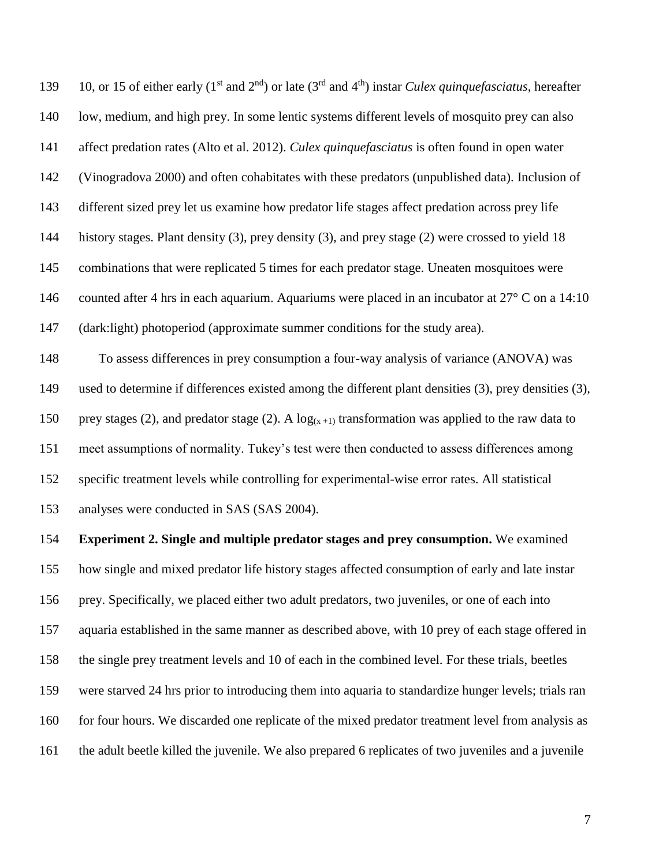139 10, or 15 of either early (1<sup>st</sup> and 2<sup>nd</sup>) or late (3<sup>rd</sup> and 4<sup>th</sup>) instar *Culex quinquefasciatus*, hereafter low, medium, and high prey. In some lentic systems different levels of mosquito prey can also affect predation rates (Alto et al. 2012). *Culex quinquefasciatus* is often found in open water (Vinogradova 2000) and often cohabitates with these predators (unpublished data). Inclusion of different sized prey let us examine how predator life stages affect predation across prey life history stages. Plant density (3), prey density (3), and prey stage (2) were crossed to yield 18 combinations that were replicated 5 times for each predator stage. Uneaten mosquitoes were 146 counted after 4 hrs in each aquarium. Aquariums were placed in an incubator at 27° C on a 14:10 (dark:light) photoperiod (approximate summer conditions for the study area). To assess differences in prey consumption a four-way analysis of variance (ANOVA) was

 used to determine if differences existed among the different plant densities (3), prey densities (3), 150 prey stages (2), and predator stage (2). A  $log(x + 1)$  transformation was applied to the raw data to meet assumptions of normality. Tukey's test were then conducted to assess differences among specific treatment levels while controlling for experimental-wise error rates. All statistical analyses were conducted in SAS (SAS 2004).

 **Experiment 2. Single and multiple predator stages and prey consumption.** We examined how single and mixed predator life history stages affected consumption of early and late instar prey. Specifically, we placed either two adult predators, two juveniles, or one of each into aquaria established in the same manner as described above, with 10 prey of each stage offered in the single prey treatment levels and 10 of each in the combined level. For these trials, beetles were starved 24 hrs prior to introducing them into aquaria to standardize hunger levels; trials ran 160 for four hours. We discarded one replicate of the mixed predator treatment level from analysis as the adult beetle killed the juvenile. We also prepared 6 replicates of two juveniles and a juvenile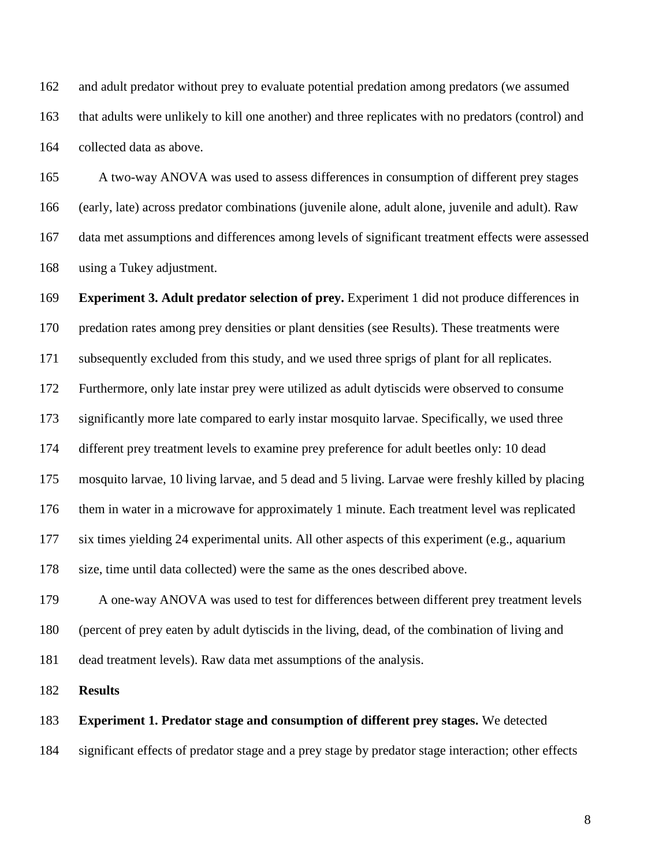and adult predator without prey to evaluate potential predation among predators (we assumed that adults were unlikely to kill one another) and three replicates with no predators (control) and collected data as above.

 A two-way ANOVA was used to assess differences in consumption of different prey stages (early, late) across predator combinations (juvenile alone, adult alone, juvenile and adult). Raw data met assumptions and differences among levels of significant treatment effects were assessed using a Tukey adjustment.

 **Experiment 3. Adult predator selection of prey.** Experiment 1 did not produce differences in predation rates among prey densities or plant densities (see Results). These treatments were subsequently excluded from this study, and we used three sprigs of plant for all replicates. Furthermore, only late instar prey were utilized as adult dytiscids were observed to consume significantly more late compared to early instar mosquito larvae. Specifically, we used three different prey treatment levels to examine prey preference for adult beetles only: 10 dead mosquito larvae, 10 living larvae, and 5 dead and 5 living. Larvae were freshly killed by placing them in water in a microwave for approximately 1 minute. Each treatment level was replicated six times yielding 24 experimental units. All other aspects of this experiment (e.g., aquarium size, time until data collected) were the same as the ones described above.

 A one-way ANOVA was used to test for differences between different prey treatment levels (percent of prey eaten by adult dytiscids in the living, dead, of the combination of living and dead treatment levels). Raw data met assumptions of the analysis.

**Results**

**Experiment 1. Predator stage and consumption of different prey stages.** We detected

significant effects of predator stage and a prey stage by predator stage interaction; other effects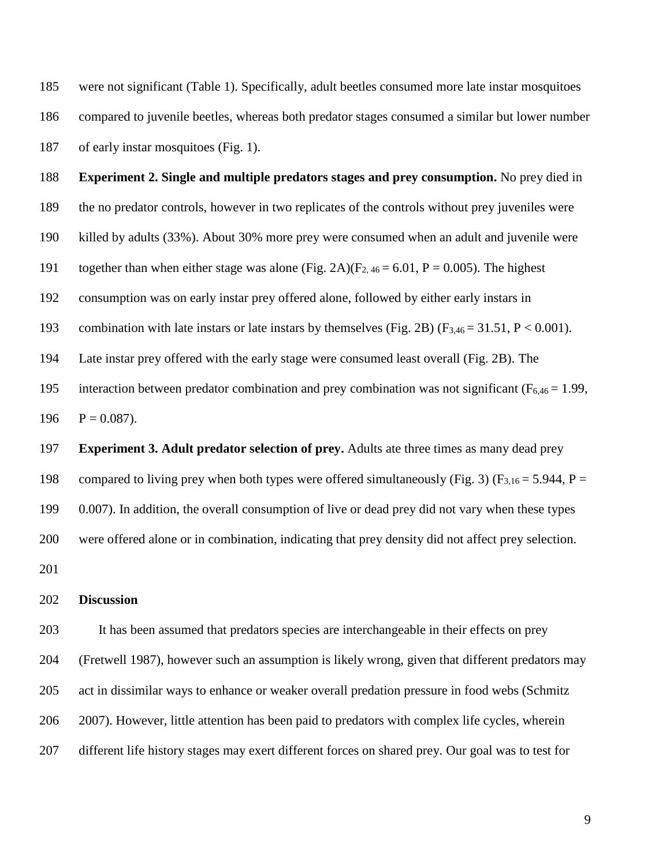were not significant (Table 1). Specifically, adult beetles consumed more late instar mosquitoes compared to juvenile beetles, whereas both predator stages consumed a similar but lower number of early instar mosquitoes (Fig. 1).

 **Experiment 2. Single and multiple predators stages and prey consumption.** No prey died in the no predator controls, however in two replicates of the controls without prey juveniles were killed by adults (33%). About 30% more prey were consumed when an adult and juvenile were 191 together than when either stage was alone (Fig. 2A)( $F_{2,46} = 6.01$ , P = 0.005). The highest consumption was on early instar prey offered alone, followed by either early instars in 193 combination with late instars or late instars by themselves (Fig. 2B) (F<sub>3,46</sub> = 31.51, P < 0.001). Late instar prey offered with the early stage were consumed least overall (Fig. 2B). The 195 interaction between predator combination and prey combination was not significant ( $F_{6,46} = 1.99$ ,  $P = 0.087$ . **Experiment 3. Adult predator selection of prey.** Adults ate three times as many dead prey

198 compared to living prey when both types were offered simultaneously (Fig. 3) (F<sub>3,16</sub> = 5.944, P = 0.007). In addition, the overall consumption of live or dead prey did not vary when these types were offered alone or in combination, indicating that prey density did not affect prey selection. 

## **Discussion**

 It has been assumed that predators species are interchangeable in their effects on prey (Fretwell 1987), however such an assumption is likely wrong, given that different predators may act in dissimilar ways to enhance or weaker overall predation pressure in food webs (Schmitz 2007). However, little attention has been paid to predators with complex life cycles, wherein different life history stages may exert different forces on shared prey. Our goal was to test for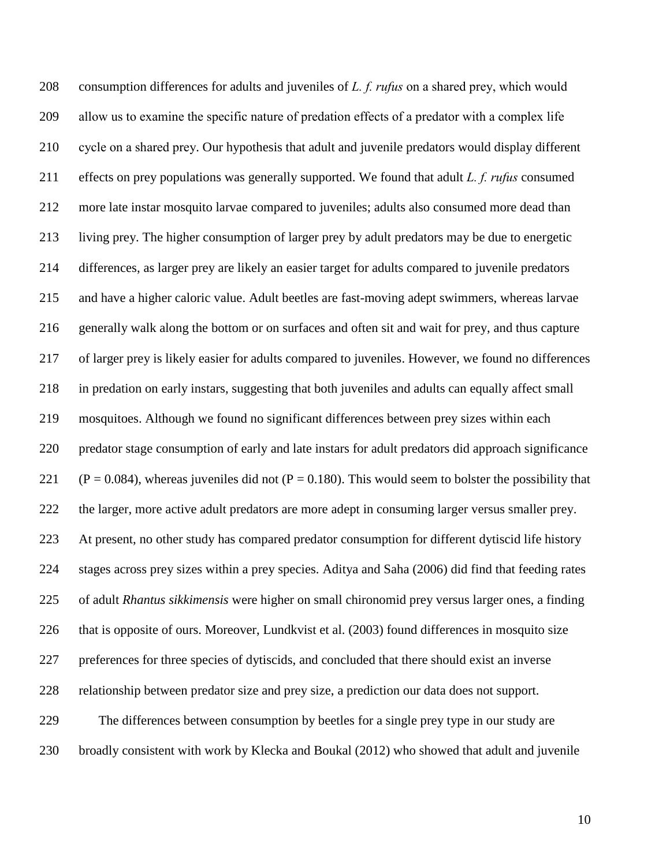consumption differences for adults and juveniles of *L. f. rufus* on a shared prey, which would allow us to examine the specific nature of predation effects of a predator with a complex life cycle on a shared prey. Our hypothesis that adult and juvenile predators would display different effects on prey populations was generally supported. We found that adult *L. f. rufus* consumed more late instar mosquito larvae compared to juveniles; adults also consumed more dead than living prey. The higher consumption of larger prey by adult predators may be due to energetic differences, as larger prey are likely an easier target for adults compared to juvenile predators and have a higher caloric value. Adult beetles are fast-moving adept swimmers, whereas larvae generally walk along the bottom or on surfaces and often sit and wait for prey, and thus capture of larger prey is likely easier for adults compared to juveniles. However, we found no differences in predation on early instars, suggesting that both juveniles and adults can equally affect small mosquitoes. Although we found no significant differences between prey sizes within each predator stage consumption of early and late instars for adult predators did approach significance 221 (P = 0.084), whereas juveniles did not (P = 0.180). This would seem to bolster the possibility that the larger, more active adult predators are more adept in consuming larger versus smaller prey. At present, no other study has compared predator consumption for different dytiscid life history stages across prey sizes within a prey species. Aditya and Saha (2006) did find that feeding rates of adult *Rhantus sikkimensis* were higher on small chironomid prey versus larger ones, a finding that is opposite of ours. Moreover, Lundkvist et al. (2003) found differences in mosquito size preferences for three species of dytiscids, and concluded that there should exist an inverse relationship between predator size and prey size, a prediction our data does not support. The differences between consumption by beetles for a single prey type in our study are broadly consistent with work by Klecka and Boukal (2012) who showed that adult and juvenile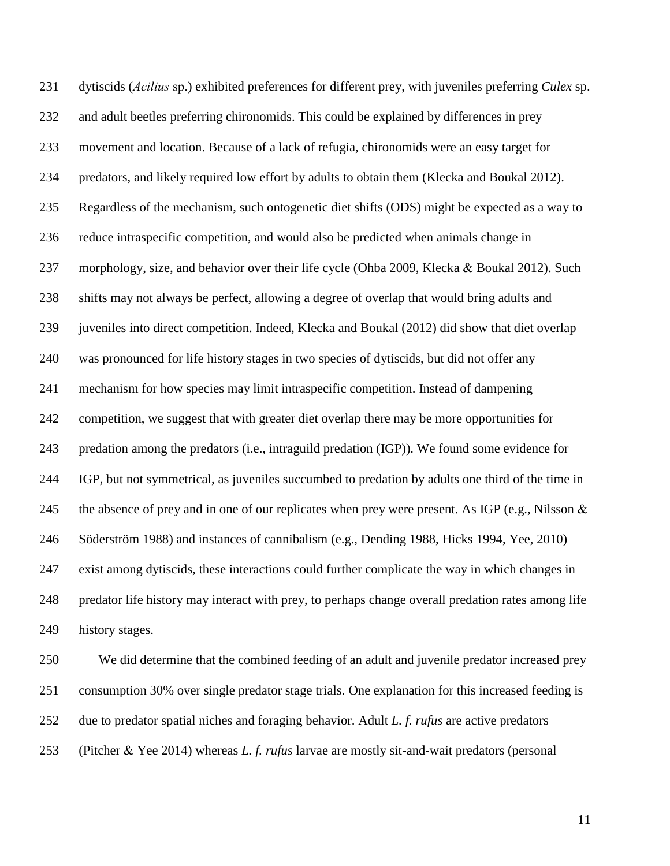dytiscids (*Acilius* sp.) exhibited preferences for different prey, with juveniles preferring *Culex* sp. and adult beetles preferring chironomids. This could be explained by differences in prey movement and location. Because of a lack of refugia, chironomids were an easy target for predators, and likely required low effort by adults to obtain them (Klecka and Boukal 2012). Regardless of the mechanism, such ontogenetic diet shifts (ODS) might be expected as a way to reduce intraspecific competition, and would also be predicted when animals change in morphology, size, and behavior over their life cycle (Ohba 2009, Klecka & Boukal 2012). Such shifts may not always be perfect, allowing a degree of overlap that would bring adults and juveniles into direct competition. Indeed, Klecka and Boukal (2012) did show that diet overlap was pronounced for life history stages in two species of dytiscids, but did not offer any mechanism for how species may limit intraspecific competition. Instead of dampening competition, we suggest that with greater diet overlap there may be more opportunities for predation among the predators (i.e., intraguild predation (IGP)). We found some evidence for IGP, but not symmetrical, as juveniles succumbed to predation by adults one third of the time in 245 the absence of prey and in one of our replicates when prey were present. As IGP (e.g., Nilsson & Söderström 1988) and instances of cannibalism (e.g., Dending 1988, Hicks 1994, Yee, 2010) exist among dytiscids, these interactions could further complicate the way in which changes in predator life history may interact with prey, to perhaps change overall predation rates among life history stages.

 We did determine that the combined feeding of an adult and juvenile predator increased prey consumption 30% over single predator stage trials. One explanation for this increased feeding is due to predator spatial niches and foraging behavior. Adult *L. f. rufus* are active predators (Pitcher & Yee 2014) whereas *L. f. rufus* larvae are mostly sit-and-wait predators (personal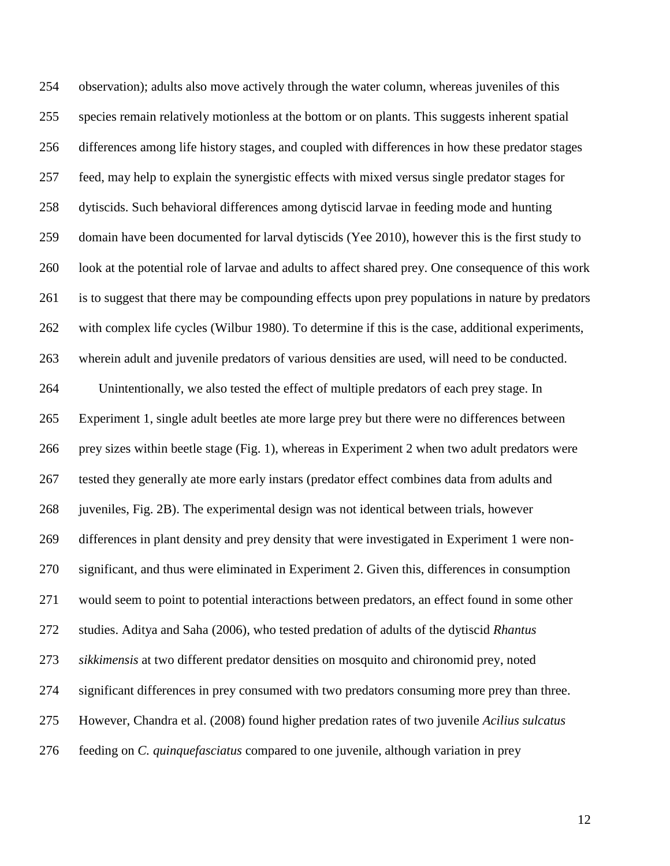observation); adults also move actively through the water column, whereas juveniles of this species remain relatively motionless at the bottom or on plants. This suggests inherent spatial differences among life history stages, and coupled with differences in how these predator stages feed, may help to explain the synergistic effects with mixed versus single predator stages for dytiscids. Such behavioral differences among dytiscid larvae in feeding mode and hunting domain have been documented for larval dytiscids (Yee 2010), however this is the first study to look at the potential role of larvae and adults to affect shared prey. One consequence of this work is to suggest that there may be compounding effects upon prey populations in nature by predators with complex life cycles (Wilbur 1980). To determine if this is the case, additional experiments, wherein adult and juvenile predators of various densities are used, will need to be conducted. Unintentionally, we also tested the effect of multiple predators of each prey stage. In Experiment 1, single adult beetles ate more large prey but there were no differences between prey sizes within beetle stage (Fig. 1), whereas in Experiment 2 when two adult predators were tested they generally ate more early instars (predator effect combines data from adults and juveniles, Fig. 2B). The experimental design was not identical between trials, however differences in plant density and prey density that were investigated in Experiment 1 were non- significant, and thus were eliminated in Experiment 2. Given this, differences in consumption would seem to point to potential interactions between predators, an effect found in some other studies. Aditya and Saha (2006), who tested predation of adults of the dytiscid *Rhantus sikkimensis* at two different predator densities on mosquito and chironomid prey, noted significant differences in prey consumed with two predators consuming more prey than three. However, Chandra et al. (2008) found higher predation rates of two juvenile *Acilius sulcatus* feeding on *C. quinquefasciatus* compared to one juvenile, although variation in prey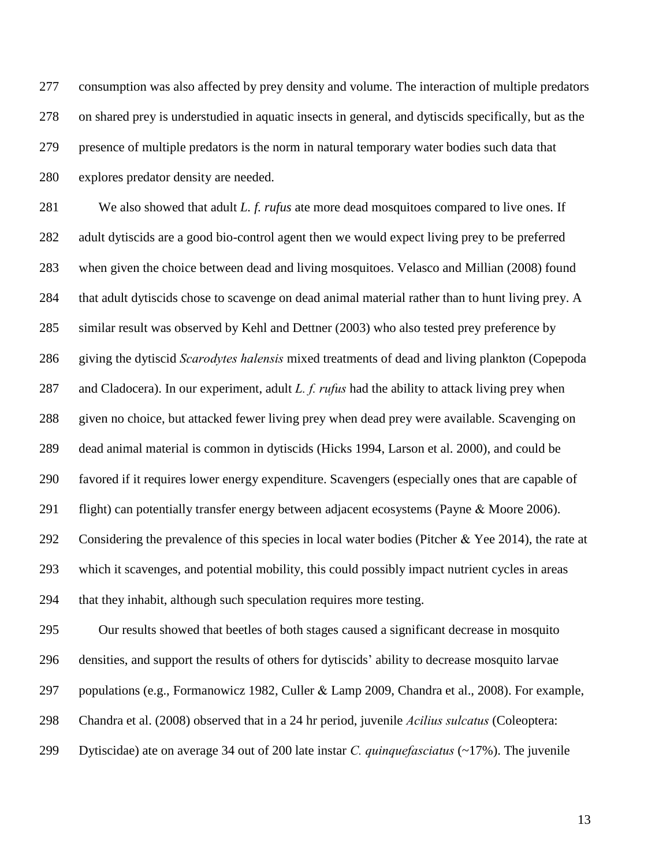consumption was also affected by prey density and volume. The interaction of multiple predators on shared prey is understudied in aquatic insects in general, and dytiscids specifically, but as the presence of multiple predators is the norm in natural temporary water bodies such data that explores predator density are needed.

 We also showed that adult *L. f. rufus* ate more dead mosquitoes compared to live ones. If adult dytiscids are a good bio-control agent then we would expect living prey to be preferred when given the choice between dead and living mosquitoes. Velasco and Millian (2008) found that adult dytiscids chose to scavenge on dead animal material rather than to hunt living prey. A similar result was observed by Kehl and Dettner (2003) who also tested prey preference by giving the dytiscid *Scarodytes halensis* mixed treatments of dead and living plankton (Copepoda and Cladocera). In our experiment, adult *L. f. rufus* had the ability to attack living prey when given no choice, but attacked fewer living prey when dead prey were available. Scavenging on dead animal material is common in dytiscids (Hicks 1994, Larson et al. 2000), and could be favored if it requires lower energy expenditure. Scavengers (especially ones that are capable of 291 flight) can potentially transfer energy between adjacent ecosystems (Payne & Moore 2006). Considering the prevalence of this species in local water bodies (Pitcher & Yee 2014), the rate at which it scavenges, and potential mobility, this could possibly impact nutrient cycles in areas that they inhabit, although such speculation requires more testing.

 Our results showed that beetles of both stages caused a significant decrease in mosquito densities, and support the results of others for dytiscids' ability to decrease mosquito larvae populations (e.g., Formanowicz 1982, Culler & Lamp 2009, Chandra et al., 2008). For example, Chandra et al. (2008) observed that in a 24 hr period, juvenile *Acilius sulcatus* (Coleoptera: Dytiscidae) ate on average 34 out of 200 late instar *C. quinquefasciatus* (~17%). The juvenile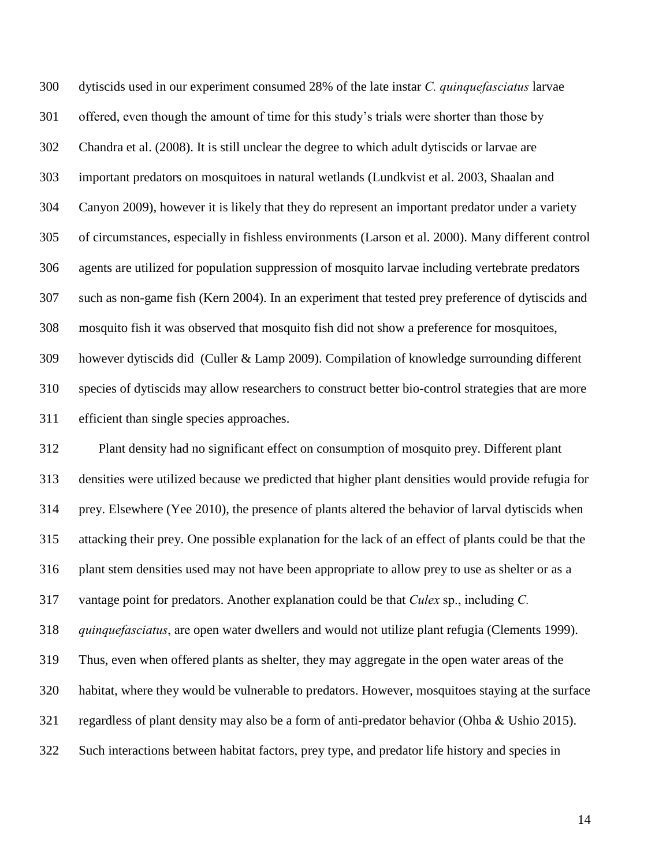dytiscids used in our experiment consumed 28% of the late instar *C. quinquefasciatus* larvae offered, even though the amount of time for this study's trials were shorter than those by Chandra et al. (2008). It is still unclear the degree to which adult dytiscids or larvae are important predators on mosquitoes in natural wetlands (Lundkvist et al. 2003, Shaalan and Canyon 2009), however it is likely that they do represent an important predator under a variety of circumstances, especially in fishless environments (Larson et al. 2000). Many different control agents are utilized for population suppression of mosquito larvae including vertebrate predators such as non-game fish (Kern 2004). In an experiment that tested prey preference of dytiscids and mosquito fish it was observed that mosquito fish did not show a preference for mosquitoes, however dytiscids did (Culler & Lamp 2009). Compilation of knowledge surrounding different species of dytiscids may allow researchers to construct better bio-control strategies that are more efficient than single species approaches.

 Plant density had no significant effect on consumption of mosquito prey. Different plant densities were utilized because we predicted that higher plant densities would provide refugia for prey. Elsewhere (Yee 2010), the presence of plants altered the behavior of larval dytiscids when attacking their prey. One possible explanation for the lack of an effect of plants could be that the plant stem densities used may not have been appropriate to allow prey to use as shelter or as a vantage point for predators. Another explanation could be that *Culex* sp., including *C. quinquefasciatus*, are open water dwellers and would not utilize plant refugia (Clements 1999). Thus, even when offered plants as shelter, they may aggregate in the open water areas of the habitat, where they would be vulnerable to predators. However, mosquitoes staying at the surface regardless of plant density may also be a form of anti-predator behavior (Ohba & Ushio 2015). Such interactions between habitat factors, prey type, and predator life history and species in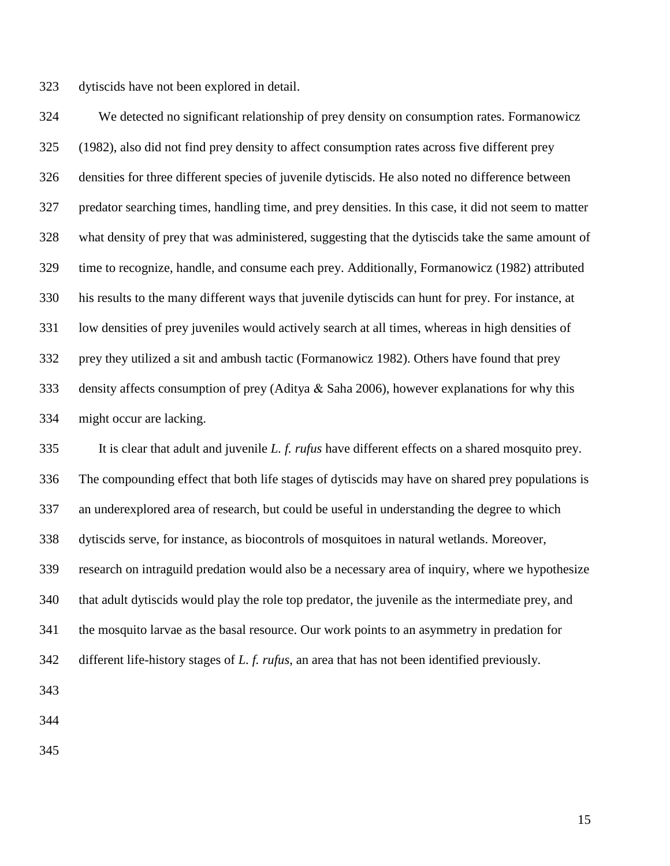dytiscids have not been explored in detail.

 We detected no significant relationship of prey density on consumption rates. Formanowicz (1982), also did not find prey density to affect consumption rates across five different prey densities for three different species of juvenile dytiscids. He also noted no difference between predator searching times, handling time, and prey densities. In this case, it did not seem to matter what density of prey that was administered, suggesting that the dytiscids take the same amount of time to recognize, handle, and consume each prey. Additionally, Formanowicz (1982) attributed his results to the many different ways that juvenile dytiscids can hunt for prey. For instance, at low densities of prey juveniles would actively search at all times, whereas in high densities of prey they utilized a sit and ambush tactic (Formanowicz 1982). Others have found that prey density affects consumption of prey (Aditya & Saha 2006), however explanations for why this might occur are lacking.

 It is clear that adult and juvenile *L. f. rufus* have different effects on a shared mosquito prey. The compounding effect that both life stages of dytiscids may have on shared prey populations is an underexplored area of research, but could be useful in understanding the degree to which dytiscids serve, for instance, as biocontrols of mosquitoes in natural wetlands. Moreover, research on intraguild predation would also be a necessary area of inquiry, where we hypothesize that adult dytiscids would play the role top predator, the juvenile as the intermediate prey, and the mosquito larvae as the basal resource. Our work points to an asymmetry in predation for different life-history stages of *L. f. rufus*, an area that has not been identified previously.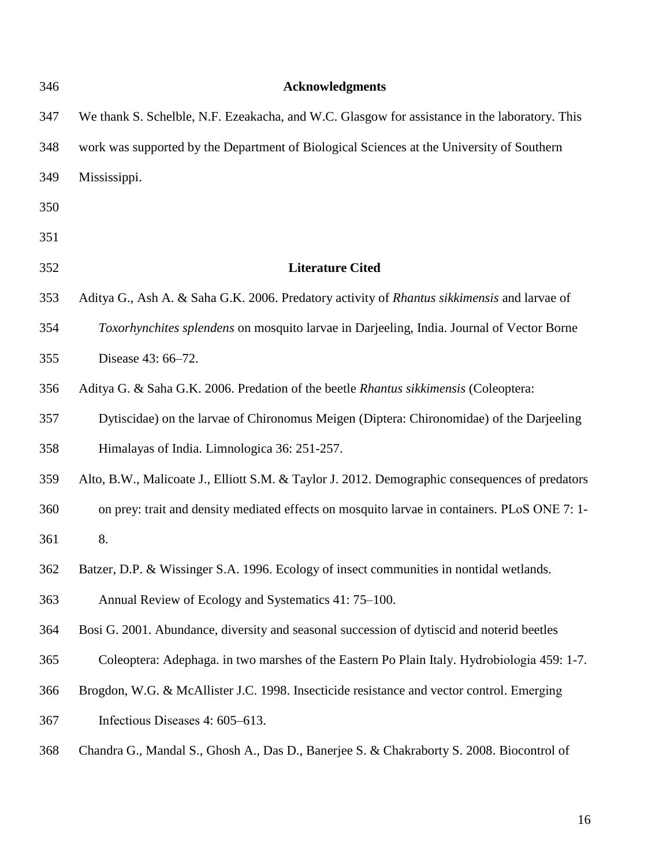| 346 | <b>Acknowledgments</b>                                                                         |
|-----|------------------------------------------------------------------------------------------------|
| 347 | We thank S. Schelble, N.F. Ezeakacha, and W.C. Glasgow for assistance in the laboratory. This  |
| 348 | work was supported by the Department of Biological Sciences at the University of Southern      |
| 349 | Mississippi.                                                                                   |
| 350 |                                                                                                |
| 351 |                                                                                                |
| 352 | <b>Literature Cited</b>                                                                        |
| 353 | Aditya G., Ash A. & Saha G.K. 2006. Predatory activity of Rhantus sikkimensis and larvae of    |
| 354 | Toxorhynchites splendens on mosquito larvae in Darjeeling, India. Journal of Vector Borne      |
| 355 | Disease 43: 66-72.                                                                             |
| 356 | Aditya G. & Saha G.K. 2006. Predation of the beetle Rhantus sikkimensis (Coleoptera:           |
| 357 | Dytiscidae) on the larvae of Chironomus Meigen (Diptera: Chironomidae) of the Darjeeling       |
| 358 | Himalayas of India. Limnologica 36: 251-257.                                                   |
| 359 | Alto, B.W., Malicoate J., Elliott S.M. & Taylor J. 2012. Demographic consequences of predators |
| 360 | on prey: trait and density mediated effects on mosquito larvae in containers. PLoS ONE 7: 1-   |
| 361 | 8.                                                                                             |
| 362 | Batzer, D.P. & Wissinger S.A. 1996. Ecology of insect communities in nontidal wetlands.        |
| 363 | Annual Review of Ecology and Systematics 41: 75–100.                                           |
| 364 | Bosi G. 2001. Abundance, diversity and seasonal succession of dytiscid and noterid beetles     |
| 365 | Coleoptera: Adephaga. in two marshes of the Eastern Po Plain Italy. Hydrobiologia 459: 1-7.    |
| 366 | Brogdon, W.G. & McAllister J.C. 1998. Insecticide resistance and vector control. Emerging      |
| 367 | Infectious Diseases 4: 605–613.                                                                |
| 368 | Chandra G., Mandal S., Ghosh A., Das D., Banerjee S. & Chakraborty S. 2008. Biocontrol of      |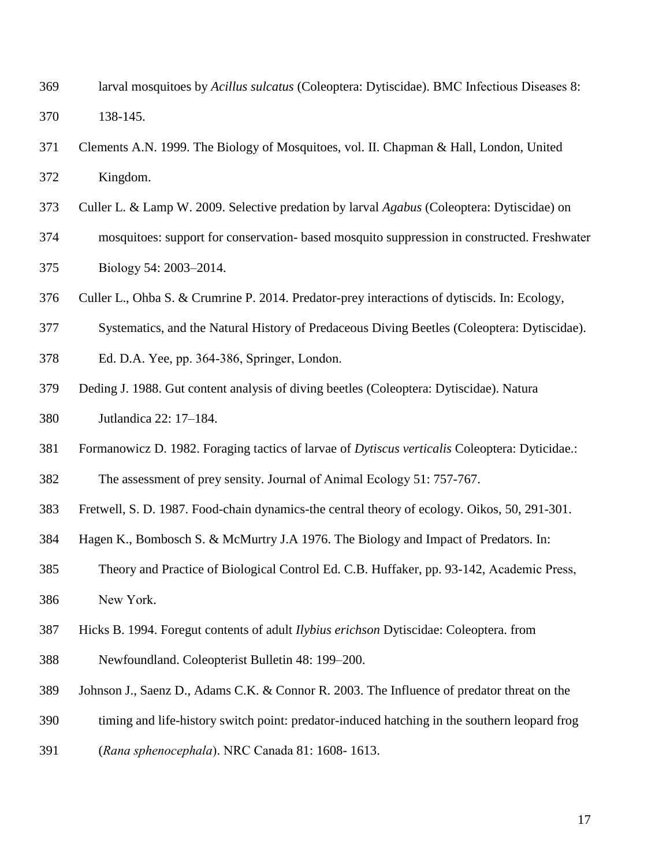- larval mosquitoes by *Acillus sulcatus* (Coleoptera: Dytiscidae). BMC Infectious Diseases 8: 138-145.
- Clements A.N. 1999. The Biology of Mosquitoes, vol. II. Chapman & Hall, London, United Kingdom.
- Culler L. & Lamp W. 2009. Selective predation by larval *Agabus* (Coleoptera: Dytiscidae) on
- mosquitoes: support for conservation- based mosquito suppression in constructed. Freshwater Biology 54: 2003–2014.
- Culler L., Ohba S. & Crumrine P. 2014. Predator-prey interactions of dytiscids. In: Ecology,
- Systematics, and the Natural History of Predaceous Diving Beetles (Coleoptera: Dytiscidae).
- Ed. D.A. Yee, pp. 364-386, Springer, London.
- Deding J. 1988. Gut content analysis of diving beetles (Coleoptera: Dytiscidae). Natura Jutlandica 22: 17–184.
- Formanowicz D. 1982. Foraging tactics of larvae of *Dytiscus verticalis* Coleoptera: Dyticidae.:
- The assessment of prey sensity. Journal of Animal Ecology 51: 757-767.
- Fretwell, S. D. 1987. Food-chain dynamics-the central theory of ecology. Oikos, 50, 291-301.
- Hagen K., Bombosch S. & McMurtry J.A 1976. The Biology and Impact of Predators. In:
- Theory and Practice of Biological Control Ed. C.B. Huffaker, pp. 93-142, Academic Press,
- New York.
- Hicks B. 1994. Foregut contents of adult *Ilybius erichson* Dytiscidae: Coleoptera. from
- Newfoundland. Coleopterist Bulletin 48: 199–200.
- Johnson J., Saenz D., Adams C.K. & Connor R. 2003. The Influence of predator threat on the
- timing and life-history switch point: predator-induced hatching in the southern leopard frog
- (*Rana sphenocephala*). NRC Canada 81: 1608- 1613.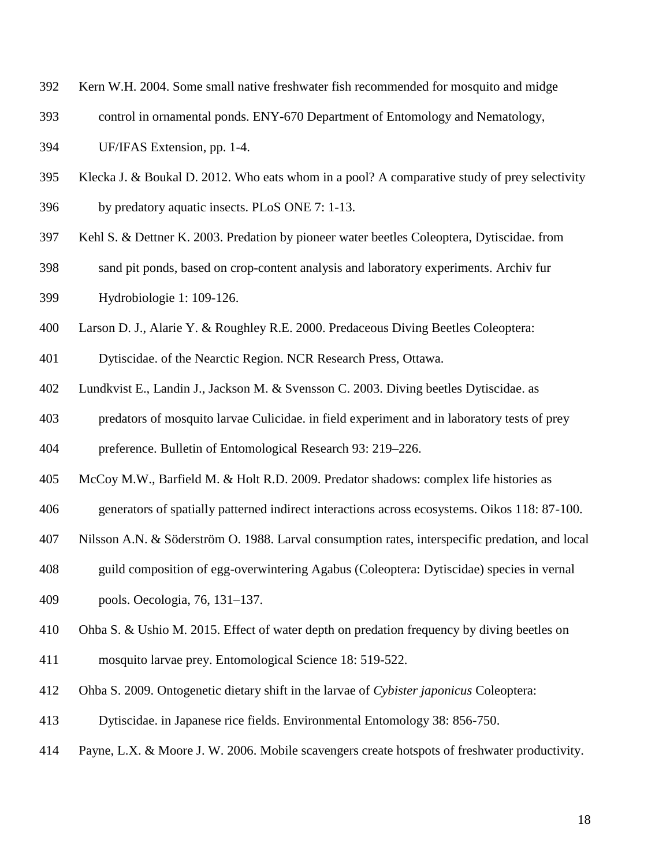- Kern W.H. 2004. Some small native freshwater fish recommended for mosquito and midge
- control in ornamental ponds. ENY-670 Department of Entomology and Nematology,
- UF/IFAS Extension, pp. 1-4.
- Klecka J. & Boukal D. 2012. Who eats whom in a pool? A comparative study of prey selectivity
- by predatory aquatic insects. PLoS ONE 7: 1-13.
- Kehl S. & Dettner K. 2003. Predation by pioneer water beetles Coleoptera, Dytiscidae. from
- sand pit ponds, based on crop-content analysis and laboratory experiments. Archiv fur Hydrobiologie 1: 109-126.
- Larson D. J., Alarie Y. & Roughley R.E. 2000. Predaceous Diving Beetles Coleoptera:
- Dytiscidae. of the Nearctic Region. NCR Research Press, Ottawa.
- Lundkvist E., Landin J., Jackson M. & Svensson C. 2003. Diving beetles Dytiscidae. as
- predators of mosquito larvae Culicidae. in field experiment and in laboratory tests of prey
- preference. Bulletin of Entomological Research 93: 219–226.
- McCoy M.W., Barfield M. & Holt R.D. 2009. Predator shadows: complex life histories as
- generators of spatially patterned indirect interactions across ecosystems. Oikos 118: 87-100.
- Nilsson A.N. & Söderström O. 1988. Larval consumption rates, interspecific predation, and local
- guild composition of egg-overwintering Agabus (Coleoptera: Dytiscidae) species in vernal
- pools. Oecologia, 76, 131–137.
- Ohba S. & Ushio M. 2015. Effect of water depth on predation frequency by diving beetles on
- mosquito larvae prey. Entomological Science 18: 519-522.
- Ohba S. 2009. Ontogenetic dietary shift in the larvae of *Cybister japonicus* Coleoptera:
- Dytiscidae. in Japanese rice fields. Environmental Entomology 38: 856-750.
- Payne, L.X. & Moore J. W. 2006. Mobile scavengers create hotspots of freshwater productivity.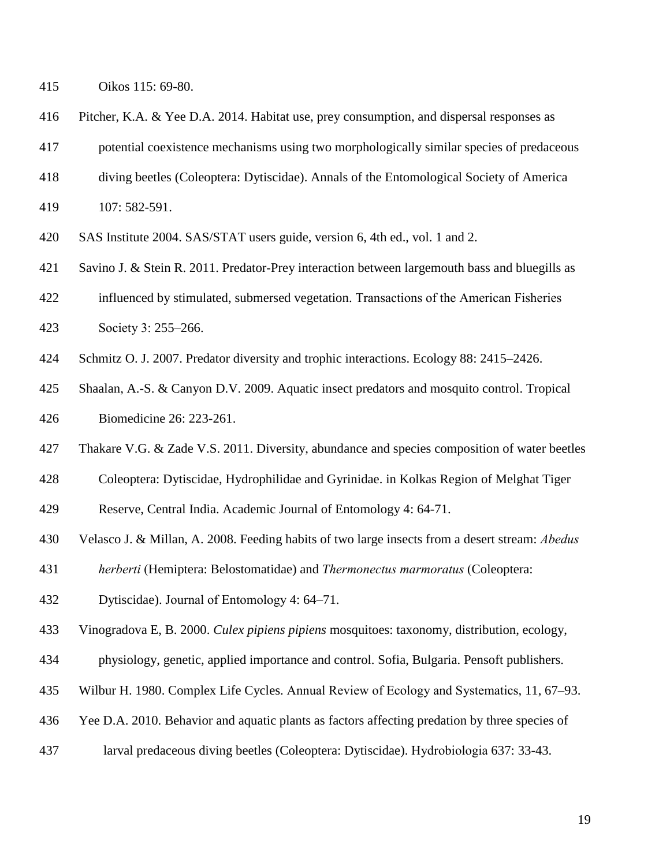Oikos 115: 69-80.

- Pitcher, K.A. & Yee D.A. 2014. Habitat use, prey consumption, and dispersal responses as
- potential coexistence mechanisms using two morphologically similar species of predaceous
- diving beetles (Coleoptera: Dytiscidae). Annals of the Entomological Society of America
- 107: 582-591.
- SAS Institute 2004. SAS/STAT users guide, version 6, 4th ed., vol. 1 and 2.
- Savino J. & Stein R. 2011. Predator-Prey interaction between largemouth bass and bluegills as
- influenced by stimulated, submersed vegetation. Transactions of the American Fisheries
- Society 3: 255–266.
- Schmitz O. J. 2007. Predator diversity and trophic interactions. Ecology 88: 2415–2426.
- Shaalan, A.-S. & Canyon D.V. 2009. Aquatic insect predators and mosquito control. Tropical Biomedicine 26: 223-261.
- Thakare V.G. & Zade V.S. 2011. Diversity, abundance and species composition of water beetles
- Coleoptera: Dytiscidae, Hydrophilidae and Gyrinidae. in Kolkas Region of Melghat Tiger
- Reserve, Central India. Academic Journal of Entomology 4: 64-71.
- Velasco J. & Millan, A. 2008. Feeding habits of two large insects from a desert stream: *Abedus*
- *herberti* (Hemiptera: Belostomatidae) and *Thermonectus marmoratus* (Coleoptera:
- Dytiscidae). Journal of Entomology 4: 64–71.
- Vinogradova E, B. 2000. *Culex pipiens pipiens* mosquitoes: taxonomy, distribution, ecology,
- physiology, genetic, applied importance and control. Sofia, Bulgaria. Pensoft publishers.
- Wilbur H. 1980. Complex Life Cycles. Annual Review of Ecology and Systematics, 11, 67–93.
- Yee D.A. 2010. Behavior and aquatic plants as factors affecting predation by three species of
- larval predaceous diving beetles (Coleoptera: Dytiscidae). Hydrobiologia 637: 33-43.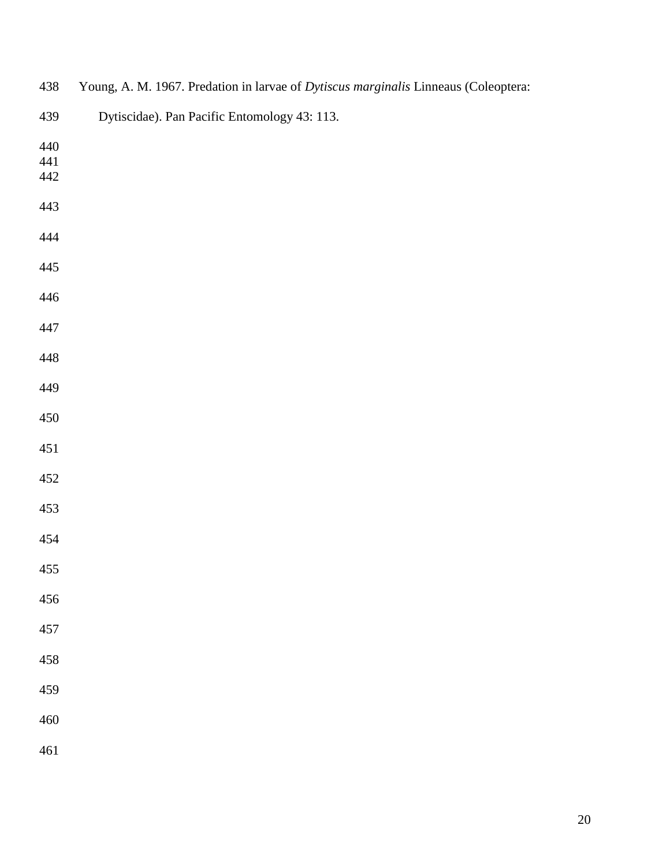| 438 | Young, A. M. 1967. Predation in larvae of Dytiscus marginalis Linneaus (Coleoptera: |
|-----|-------------------------------------------------------------------------------------|
| 439 | Dytiscidae). Pan Pacific Entomology 43: 113.                                        |
| 440 |                                                                                     |
| 441 |                                                                                     |
| 442 |                                                                                     |
| 443 |                                                                                     |
| 444 |                                                                                     |
| 445 |                                                                                     |
| 446 |                                                                                     |
| 447 |                                                                                     |
| 448 |                                                                                     |
| 449 |                                                                                     |
| 450 |                                                                                     |
| 451 |                                                                                     |
| 452 |                                                                                     |
| 453 |                                                                                     |
| 454 |                                                                                     |
| 455 |                                                                                     |
| 456 |                                                                                     |
| 457 |                                                                                     |
| 458 |                                                                                     |
| 459 |                                                                                     |
| 460 |                                                                                     |
| 461 |                                                                                     |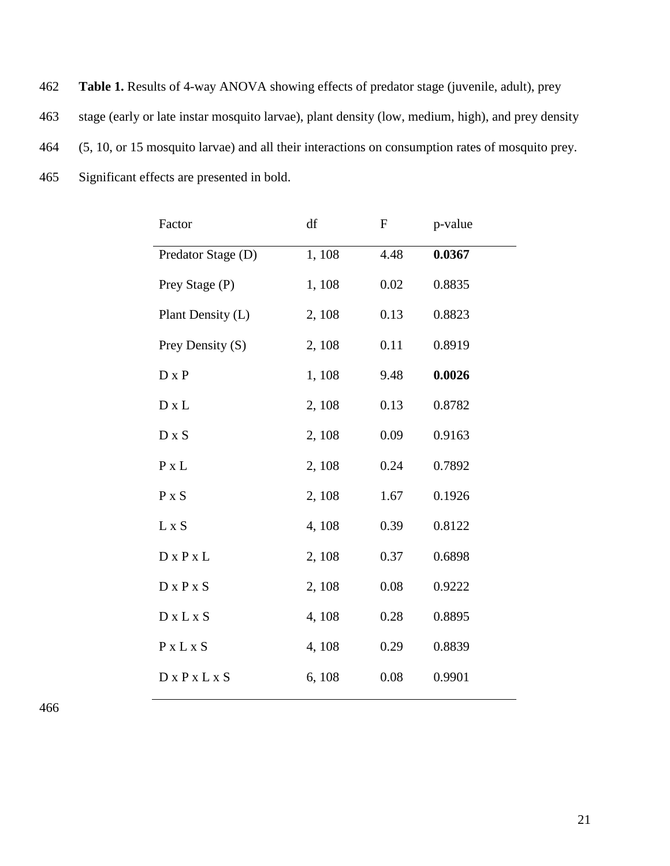**Table 1.** Results of 4-way ANOVA showing effects of predator stage (juvenile, adult), prey stage (early or late instar mosquito larvae), plant density (low, medium, high), and prey density (5, 10, or 15 mosquito larvae) and all their interactions on consumption rates of mosquito prey. Significant effects are presented in bold.

| Factor                         | df     | $\boldsymbol{\mathrm{F}}$ | p-value |
|--------------------------------|--------|---------------------------|---------|
| Predator Stage (D)             | 1,108  | 4.48                      | 0.0367  |
| Prey Stage (P)                 | 1,108  | 0.02                      | 0.8835  |
| Plant Density (L)              | 2, 108 | 0.13                      | 0.8823  |
| Prey Density (S)               | 2, 108 | 0.11                      | 0.8919  |
| $D \times P$                   | 1,108  | 9.48                      | 0.0026  |
| $D \times L$                   | 2, 108 | 0.13                      | 0.8782  |
| $D \times S$                   | 2, 108 | 0.09                      | 0.9163  |
| P X L                          | 2, 108 | 0.24                      | 0.7892  |
| P x S                          | 2, 108 | 1.67                      | 0.1926  |
| L x S                          | 4,108  | 0.39                      | 0.8122  |
| $D \times P \times L$          | 2, 108 | 0.37                      | 0.6898  |
| $D \times P \times S$          | 2, 108 | 0.08                      | 0.9222  |
| $D \times L \times S$          | 4, 108 | 0.28                      | 0.8895  |
| $P$ x L x S                    | 4,108  | 0.29                      | 0.8839  |
| $D \times P \times L \times S$ | 6, 108 | 0.08                      | 0.9901  |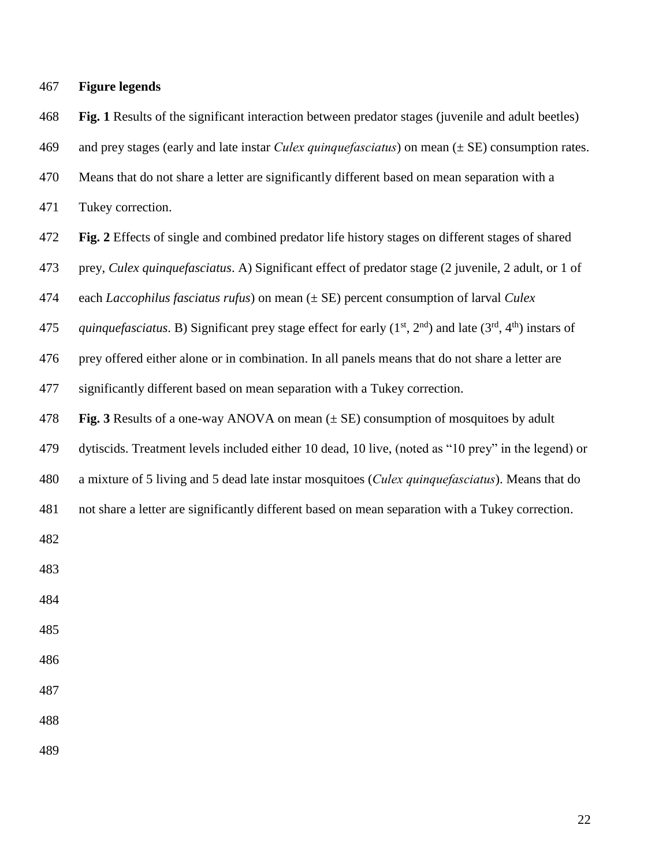| 467 | <b>Figure legends</b> |  |
|-----|-----------------------|--|
|     |                       |  |

 **Fig. 1** Results of the significant interaction between predator stages (juvenile and adult beetles) and prey stages (early and late instar *Culex quinquefasciatus*) on mean (± SE) consumption rates.

Means that do not share a letter are significantly different based on mean separation with a

Tukey correction.

**Fig. 2** Effects of single and combined predator life history stages on different stages of shared

prey, *Culex quinquefasciatus*. A) Significant effect of predator stage (2 juvenile, 2 adult, or 1 of

each *Laccophilus fasciatus rufus*) on mean (± SE) percent consumption of larval *Culex*

475 *quinquefasciatus*. B) Significant prey stage effect for early  $(1^{st}, 2^{nd})$  and late  $(3^{rd}, 4^{th})$  instars of

prey offered either alone or in combination. In all panels means that do not share a letter are

significantly different based on mean separation with a Tukey correction.

**Fig. 3** Results of a one-way ANOVA on mean (± SE) consumption of mosquitoes by adult

dytiscids. Treatment levels included either 10 dead, 10 live, (noted as "10 prey" in the legend) or

a mixture of 5 living and 5 dead late instar mosquitoes (*Culex quinquefasciatus*). Means that do

not share a letter are significantly different based on mean separation with a Tukey correction.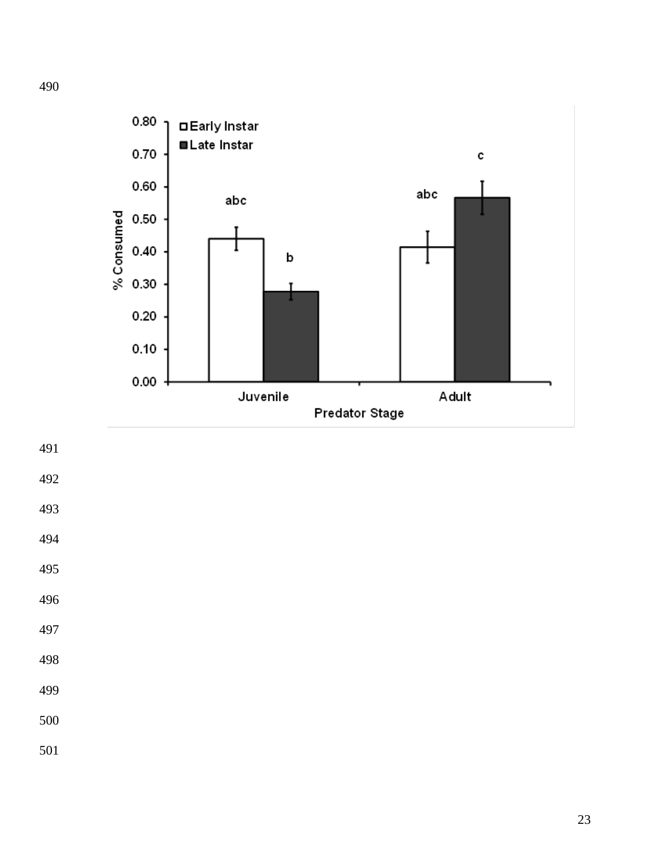

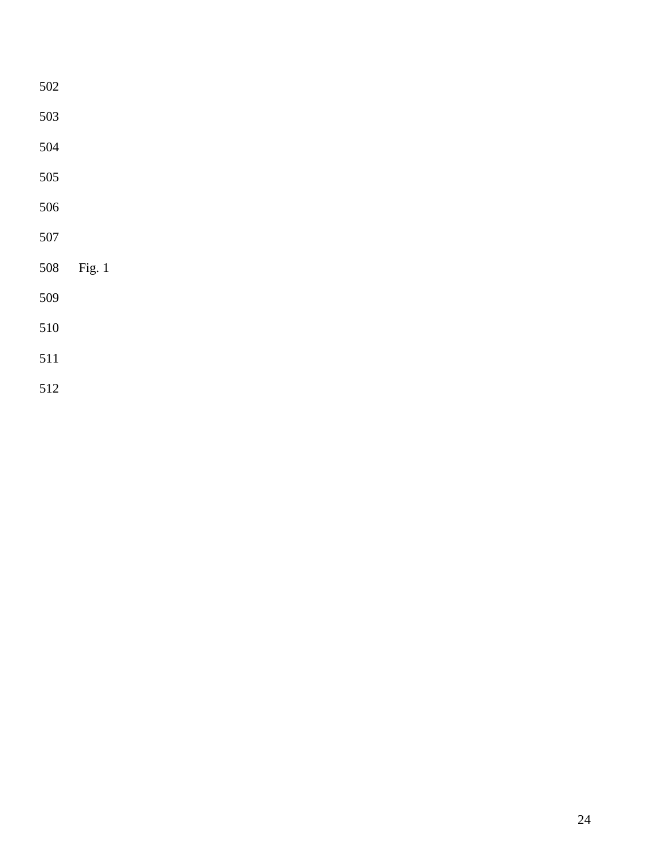| 502 |        |  |  |
|-----|--------|--|--|
| 503 |        |  |  |
| 504 |        |  |  |
| 505 |        |  |  |
| 506 |        |  |  |
| 507 |        |  |  |
| 508 | Fig. 1 |  |  |
| 509 |        |  |  |
| 510 |        |  |  |
| 511 |        |  |  |
| 512 |        |  |  |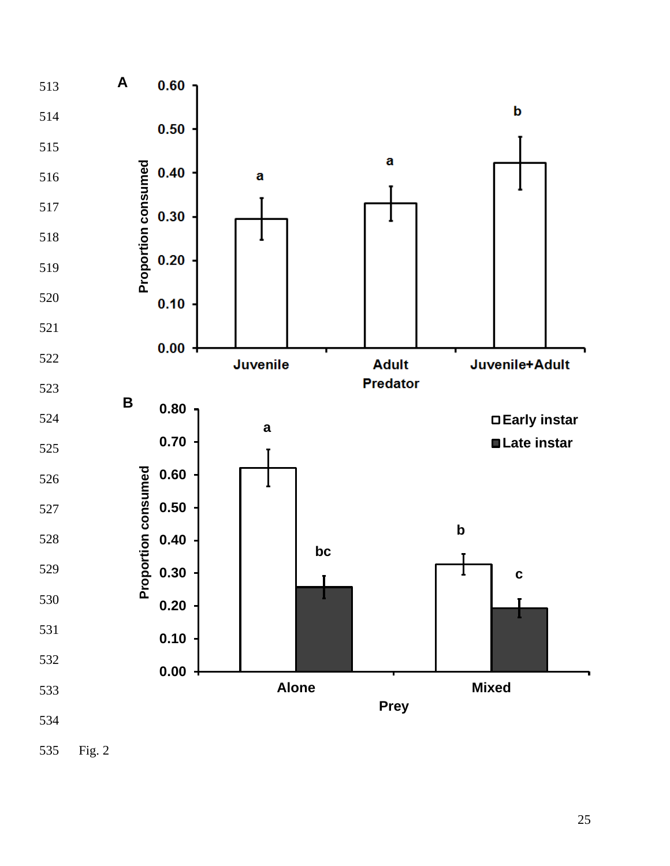